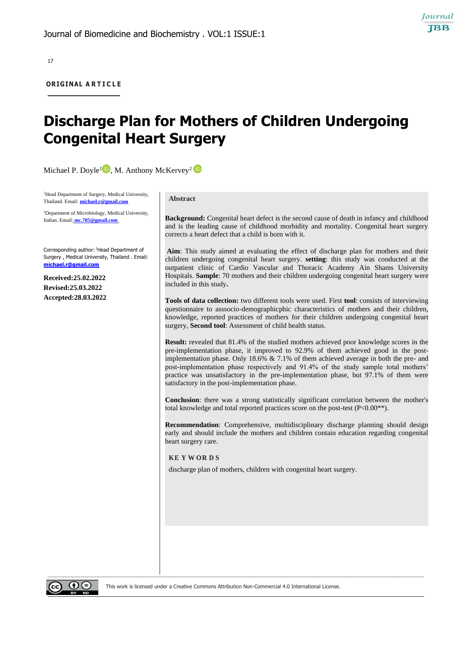17

**ORIGINAL A R T I C L E**

# **Discharge Plan for Mothers of Children Undergoing Congenital Heart Surgery**

Michael P. Doyle<sup>1</sup><sup>D</sup>, M. Anthony McKervey<sup>2</sup><sup>D</sup>

<sup>1</sup>Head Department of Surgery, Medical University, Thailand. Email: **[michael.r@gmail.com](mailto:michael.r@gmail.com)**

<sup>2</sup>Department of Microbiology, Medical University, Italian. Email: **[mc.785@gmail.com](mailto:mc.785@gmail.com)**

Corresponding author: <sup>1</sup>Head Department of Surgery , Medical University, Thailand . Email: **[michael.r@gmail.com](mailto:michael.r@gmail.com)**

**Received:25.02.2022 Revised:25.03.2022 Accepted:28.03.2022**

#### **Abstract**

**Background:** Congenital heart defect is the second cause of death in infancy and childhood and is the leading cause of childhood morbidity and mortality. Congenital heart surgery corrects a heart defect that a child is born with it.

Journal **TBB** 

**Aim**: This study aimed at evaluating the effect of discharge plan for mothers and their children undergoing congenital heart surgery. **setting**: this study was conducted at the outpatient clinic of Cardio Vascular and Thoracic Academy Ain Shams University Hospitals. **Sample**: 70 mothers and their children undergoing congenital heart surgery were included in this study**.** 

**Tools of data collection:** two different tools were used. First **tool**: consists of interviewing questionnaire to asssocio-demographicphic characteristics of mothers and their children, knowledge, reported practices of mothers for their children undergoing congenital heart surgery, **Second tool**: Assessment of child health status.

**Result:** revealed that 81.4% of the studied mothers achieved poor knowledge scores in the pre-implementation phase, it improved to 92.9% of them achieved good in the postimplementation phase. Only 18.6% & 7.1% of them achieved average in both the pre- and post-implementation phase respectively and 91.4% of the study sample total mothers' practice was unsatisfactory in the pre-implementation phase, but 97.1% of them were satisfactory in the post-implementation phase.

**Conclusion**: there was a strong statistically significant correlation between the mother's total knowledge and total reported practices score on the post-test (P<0.00\*\*).

**Recommendation**: Comprehensive, multidisciplinary discharge planning should design early and should include the mothers and children contain education regarding congenital heart surgery care.

#### **KE Y W OR D S**

discharge plan of mothers, children with congenital heart surgery.



This work is licensed under a Creative Commons Attribution Non-Commercial 4.0 International License.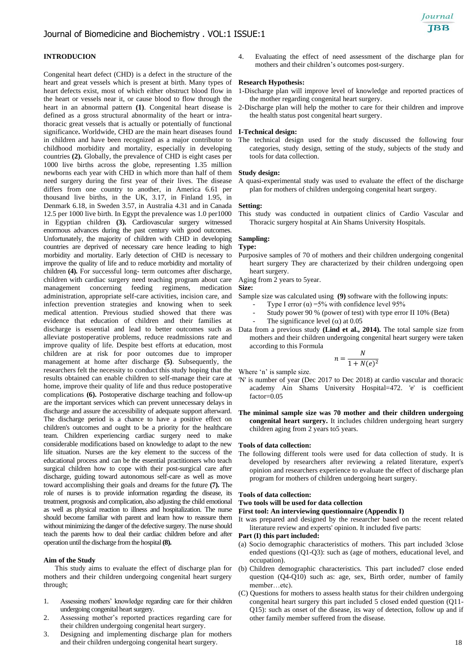Congenital heart defect (CHD) is a defect in the structure of the heart and great vessels which is present at birth. Many types of heart defects exist, most of which either obstruct blood flow in the heart or vessels near it, or cause blood to flow through the heart in an abnormal pattern **(1)**. Congenital heart disease is defined as a gross structural abnormality of the heart or intrathoracic great vessels that is actually or potentially of functional significance**.** Worldwide, CHD are the main heart diseases found in children and have been recognized as a major contributor to childhood morbidity and mortality, especially in developing countries **(2).** Globally, the prevalence of CHD is eight cases per 1000 live births across the globe, representing 1.35 million newborns each year with CHD in which more than half of them need surgery during the first year of their lives. The disease differs from one country to another, in America 6.61 per thousand live births, in the UK, 3.17, in Finland 1.95, in Denmark 6.18, in Sweden 3.57, in Australia 4.31 and in Canada 12.5 per 1000 live birth. In Egypt the prevalence was 1.0 per1000 in Egyptian children **(3).** Cardiovascular surgery witnessed enormous advances during the past century with good outcomes. Unfortunately, the majority of children with CHD in developing countries are deprived of necessary care hence leading to high morbidity and mortality. Early detection of CHD is necessary to improve the quality of life and to reduce morbidity and mortality of children **(4).** For successful long- term outcomes after discharge, children with cardiac surgery need teaching program about care<br>management concerning feeding regimens, medication feeding regimens, medication administration, appropriate self-care activities, incision care, and infection prevention strategies and knowing when to seek medical attention. Previous studied showed that there was evidence that education of children and their families at discharge is essential and lead to better outcomes such as alleviate postoperative problems, reduce readmissions rate and improve quality of life. Despite best efforts at education, most children are at risk for poor outcomes due to improper management at home after discharge **(5)**. Subsequently, the researchers felt the necessity to conduct this study hoping that the results obtained can enable children to self-manage their care at home, improve their quality of life and thus reduce postoperative complications **(6).** Postoperative discharge teaching and follow-up are the important services which can prevent unnecessary delays in discharge and assure the accessibility of adequate support afterward. The discharge period is a chance to have a positive effect on children's outcomes and ought to be a priority for the healthcare team. Children experiencing cardiac surgery need to make considerable modifications based on knowledge to adapt to the new life situation. Nurses are the key element to the success of the educational process and can be the essential practitioners who teach surgical children how to cope with their post-surgical care after discharge, guiding toward autonomous self-care as well as move toward accomplishing their goals and dreams for the future **(7).** The role of nurses is to provide information regarding the disease, its treatment, prognosis and complication, also adjusting the child emotional as well as physical reaction to illness and hospitalization. The nurse should become familiar with parent and learn how to reassure them without minimizing the danger of the defective surgery. The nurse should teach the parents how to deal their cardiac children before and after operation until the discharge from the hospital **(8).**

#### **Aim of the Study**

This study aims to evaluate the effect of discharge plan for mothers and their children undergoing congenital heart surgery through;

- 1. Assessing mothers' knowledge regarding care for their children undergoing congenital heart surgery.
- 2. Assessing mother's reported practices regarding care for their children undergoing congenital heart surgery.
- 3. Designing and implementing discharge plan for mothers and their children undergoing congenital heart surgery.

4. Evaluating the effect of need assessment of the discharge plan for mothers and their children's outcomes post-surgery.

Journal **TBB** 

#### **Research Hypothesis:**

- 1-Discharge plan will improve level of knowledge and reported practices of the mother regarding congenital heart surgery.
- 2-Discharge plan will help the mother to care for their children and improve the health status post congenital heart surgery.

#### **I-Technical design:**

The technical design used for the study discussed the following four categories, study design, setting of the study, subjects of the study and tools for data collection.

#### **Study design:**

A quasi-experimental study was used to evaluate the effect of the discharge plan for mothers of children undergoing congenital heart surgery.

#### **Setting:**

This study was conducted in outpatient clinics of Cardio Vascular and Thoracic surgery hospital at Ain Shams University Hospitals.

### **Sampling:**

**Type:**

Purposive samples of 70 of mothers and their children undergoing congenital heart surgery They are characterized by their children undergoing open heart surgery.

Aging from 2 years to 5year.

**Size:**

- Sample size was calculated using **(9)** software with the following inputs:
	- Type I error  $(\alpha)$  =5% with confidence level 95%
		- Study power 90 % (power of test) with type error II 10% (Beta) The significance level ( $\alpha$ ) at 0.05
- Data from a previous study **(Lind et al., 2014).** The total sample size from mothers and their children undergoing congenital heart surgery were taken according to this Formula

$$
n = \frac{N}{1 + N(e)^2}
$$

Where 'n' is sample size.

- 'N' is number of year (Dec 2017 to Dec 2018) at cardio vascular and thoracic academy Ain Shams University Hospital=472. 'e' is coefficient factor=0.05
- **The minimal sample size was 70 mother and their children undergoing congenital heart surgery.** It includes children undergoing heart surgery children aging from 2 years to5 years.

#### **Tools of data collection:**

The following different tools were used for data collection of study. It is developed by researchers after reviewing a related literature, expert's opinion and researchers experience to evaluate the effect of discharge plan program for mothers of children undergoing heart surgery.

### **Tools of data collection:**

**Two tools will be used for data collection** 

### **First tool: An interviewing questionnaire (Appendix I)**

It was prepared and designed by the researcher based on the recent related literature review and experts' opinion. It included five parts:

#### **Part (I) this part included:**

- (a) Socio demographic characteristics of mothers. This part included 3close ended questions (Q1-Q3): such as (age of mothers, educational level, and occupation).
- (b) Children demographic characteristics. This part included7 close ended question (Q4-Q10) such as: age, sex, Birth order, number of family member…etc).
- (C) Questions for mothers to assess health status for their children undergoing congenital heart surgery this part included 5 closed ended question (Q11- Q15): such as onset of the disease, its way of detection, follow up and if other family member suffered from the disease.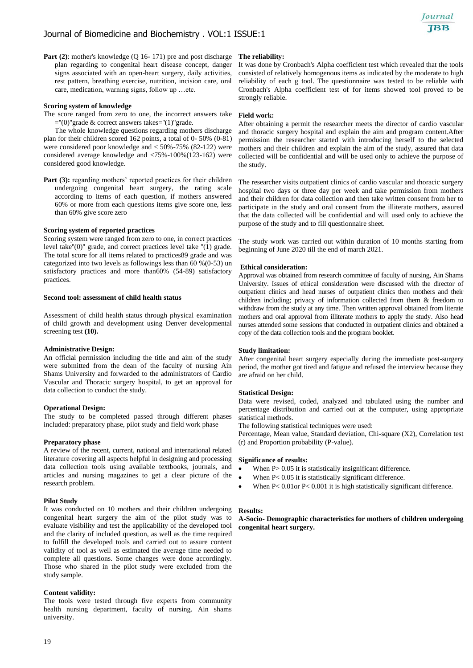

### Journal of Biomedicine and Biochemistry . VOL:1 ISSUE:1

**Part (2)**: mother's knowledge (Q 16-171) pre and post discharge **The reliability:** plan regarding to congenital heart disease concept, danger signs associated with an open-heart surgery, daily activities, rest pattern, breathing exercise, nutrition, incision care, oral care, medication, warning signs, follow up …etc.

#### **Scoring system of knowledge**

The score ranged from zero to one, the incorrect answers take  $=$ "(0)" grade & correct answers takes="(1)" grade.

The whole knowledge questions regarding mothers discharge plan for their children scored 162 points, a total of 0- 50% (0-81) were considered poor knowledge and < 50%-75% (82-122) were considered average knowledge and <75%-100%(123-162) were considered good knowledge.

Part (3): regarding mothers' reported practices for their children undergoing congenital heart surgery, the rating scale according to items of each question, if mothers answered 60% or more from each questions items give score one, less than 60% give score zero

#### **Scoring system of reported practices**

Scoring system were ranged from zero to one, in correct practices level take''(0)'' grade, and correct practices level take ''(1) grade. The total score for all items related to practices89 grade and was categorized into two levels as followings less than 60 %(0-53) un satisfactory practices and more than60% (54-89) satisfactory practices.

#### **Second tool: assessment of child health status**

Assessment of child health status through physical examination of child growth and development using Denver developmental screening test **(10).**

#### **Administrative Design:**

An official permission including the title and aim of the study were submitted from the dean of the faculty of nursing Ain Shams University and forwarded to the administrators of Cardio Vascular and Thoracic surgery hospital, to get an approval for data collection to conduct the study.

#### **Operational Design:**

The study to be completed passed through different phases included: preparatory phase, pilot study and field work phase

#### **Preparatory phase**

A review of the recent, current, national and international related literature covering all aspects helpful in designing and processing data collection tools using available textbooks, journals, and articles and nursing magazines to get a clear picture of the research problem.

#### **Pilot Study**

It was conducted on 10 mothers and their children undergoing congenital heart surgery the aim of the pilot study was to evaluate visibility and test the applicability of the developed tool and the clarity of included question, as well as the time required to fulfill the developed tools and carried out to assure content validity of tool as well as estimated the average time needed to complete all questions. Some changes were done accordingly. Those who shared in the pilot study were excluded from the study sample.

#### **Content validity:**

The tools were tested through five experts from community health nursing department, faculty of nursing. Ain shams university.

It was done by Cronbach's Alpha coefficient test which revealed that the tools consisted of relatively homogenous items as indicated by the moderate to high reliability of each g tool. The questionnaire was tested to be reliable with Cronbach's Alpha coefficient test of for items showed tool proved to be strongly reliable.

#### **Field work:**

After obtaining a permit the researcher meets the director of cardio vascular and thoracic surgery hospital and explain the aim and program content.After permission the researcher started with introducing herself to the selected mothers and their children and explain the aim of the study, assured that data collected will be confidential and will be used only to achieve the purpose of the study.

The researcher visits outpatient clinics of cardio vascular and thoracic surgery hospital two days or three day per week and take permission from mothers and their children for data collection and then take written consent from her to participate in the study and oral consent from the illiterate mothers, assured that the data collected will be confidential and will used only to achieve the purpose of the study and to fill questionnaire sheet.

The study work was carried out within duration of 10 months starting from beginning of June 2020 till the end of march 2021.

#### **Ethical consideration:**

Approval was obtained from research committee of faculty of nursing, Ain Shams University. Issues of ethical consideration were discussed with the director of outpatient clinics and head nurses of outpatient clinics then mothers and their children including; privacy of information collected from them & freedom to withdraw from the study at any time. Then written approval obtained from literate mothers and oral approval from illiterate mothers to apply the study. Also head nurses attended some sessions that conducted in outpatient clinics and obtained a copy of the data collection tools and the program booklet.

#### **Study limitation:**

After congenital heart surgery especially during the immediate post-surgery period, the mother got tired and fatigue and refused the interview because they are afraid on her child.

#### **Statistical Design:**

Data were revised, coded, analyzed and tabulated using the number and percentage distribution and carried out at the computer, using appropriate statistical methods.

The following statistical techniques were used:

Percentage, Mean value, Standard deviation, Chi-square (X2), Correlation test (r) and Proportion probability (P-value).

#### **Significance of results:**

- When P > 0.05 it is statistically insignificant difference.
- When  $P < 0.05$  it is statistically significant difference.
- When  $P < 0.01$  or  $P < 0.001$  it is high statistically significant difference.

#### **Results:**

**A-Socio- Demographic characteristics for mothers of children undergoing congenital heart surgery.**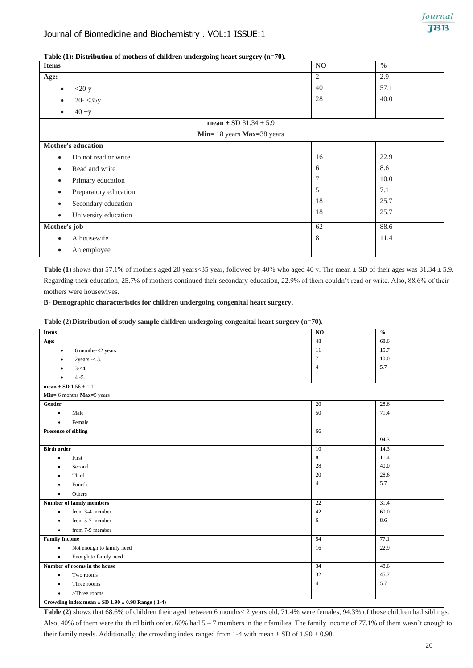

**Table (1): Distribution of mothers of children undergoing heart surgery (n=70).**

| <b>Items</b>                       | NO             | $\overline{\frac{0}{0}}$ |
|------------------------------------|----------------|--------------------------|
| Age:                               | $\overline{2}$ | 2.9                      |
| $<$ 20 y<br>$\bullet$              | 40             | 57.1                     |
| $20 - 35y$<br>$\bullet$            | 28             | 40.0                     |
| $40 + y$<br>$\bullet$              |                |                          |
| mean $\pm$ SD 31.34 $\pm$ 5.9      |                |                          |
| Min= 18 years Max=38 years         |                |                          |
| <b>Mother's education</b>          |                |                          |
| Do not read or write<br>$\bullet$  | 16             | 22.9                     |
| Read and write<br>$\bullet$        | 6              | 8.6                      |
| Primary education<br>$\bullet$     | 7              | 10.0                     |
| Preparatory education<br>$\bullet$ | 5              | 7.1                      |
| Secondary education<br>$\bullet$   | 18             | 25.7                     |
| University education               | 18             | 25.7                     |
| Mother's job                       | 62             | 88.6                     |
| A housewife<br>$\bullet$           | 8              | 11.4                     |
| An employee<br>$\bullet$           |                |                          |

**Table (1)** shows that 57.1% of mothers aged 20 years <35 year, followed by 40% who aged 40 y. The mean  $\pm$  SD of their ages was 31.34  $\pm$  5.9. Regarding their education, 25.7% of mothers continued their secondary education, 22.9% of them couldn't read or write. Also, 88.6% of their mothers were housewives.

**B- Demographic characteristics for children undergoing congenital heart surgery.**

|  | Table (2) Distribution of study sample children undergoing congenital heart surgery (n=70). |  |  |  |
|--|---------------------------------------------------------------------------------------------|--|--|--|
|  |                                                                                             |  |  |  |

| <b>Items</b>                                             | NO             | $\mathbf{0}_{\mathbf{0}}^{\prime}$ |  |  |  |  |  |  |
|----------------------------------------------------------|----------------|------------------------------------|--|--|--|--|--|--|
| Age:                                                     | 48             | 68.6                               |  |  |  |  |  |  |
| 6 months-<2 years.<br>$\bullet$                          | 11             | 15.7                               |  |  |  |  |  |  |
| 2years < 3.                                              | 7              | 10.0                               |  |  |  |  |  |  |
| $3 - 4$ .                                                | $\overline{4}$ | 5.7                                |  |  |  |  |  |  |
| $4 - 5.$                                                 |                |                                    |  |  |  |  |  |  |
| mean $\pm$ SD 1.56 $\pm$ 1.1                             |                |                                    |  |  |  |  |  |  |
| Min= 6 months Max=5 years                                |                |                                    |  |  |  |  |  |  |
| Gender                                                   | 20             | 28.6                               |  |  |  |  |  |  |
| Male<br>$\bullet$                                        | 50             | 71.4                               |  |  |  |  |  |  |
| Female                                                   |                |                                    |  |  |  |  |  |  |
| <b>Presence of sibling</b>                               | 66             |                                    |  |  |  |  |  |  |
|                                                          |                | 94.3                               |  |  |  |  |  |  |
| <b>Birth order</b>                                       | 10             | 14.3                               |  |  |  |  |  |  |
| First<br>$\bullet$                                       | 8              | 11.4                               |  |  |  |  |  |  |
| Second                                                   | 28             | 40.0                               |  |  |  |  |  |  |
| Third                                                    | 20             | 28.6                               |  |  |  |  |  |  |
| Fourth                                                   | $\overline{4}$ | 5.7                                |  |  |  |  |  |  |
| Others                                                   |                |                                    |  |  |  |  |  |  |
| Number of family members                                 | 22             | 31.4                               |  |  |  |  |  |  |
| from 3-4 member<br>$\bullet$                             | 42             | 60.0                               |  |  |  |  |  |  |
| from 5-7 member                                          | 6              | 8.6                                |  |  |  |  |  |  |
| from 7-9 member                                          |                |                                    |  |  |  |  |  |  |
| <b>Family Income</b>                                     | 54             | 77.1                               |  |  |  |  |  |  |
| Not enough to family need                                | 16             | 22.9                               |  |  |  |  |  |  |
| Enough to family need                                    |                |                                    |  |  |  |  |  |  |
| Number of rooms in the house                             | 34             | 48.6                               |  |  |  |  |  |  |
| Two rooms<br>$\bullet$                                   | 32             | 45.7                               |  |  |  |  |  |  |
| Three rooms                                              | 4              | 5.7                                |  |  |  |  |  |  |
| >Three rooms                                             |                |                                    |  |  |  |  |  |  |
| Crowding index mean $\pm$ SD 1.90 $\pm$ 0.98 Range (1-4) |                |                                    |  |  |  |  |  |  |

**Table (2)** shows that 68.6% of children their aged between 6 months< 2 years old, 71.4% were females, 94.3% of those children had siblings. Also, 40% of them were the third birth order. 60% had  $5 - 7$  members in their families. The family income of 77.1% of them wasn't enough to their family needs. Additionally, the crowding index ranged from 1-4 with mean  $\pm$  SD of 1.90  $\pm$  0.98.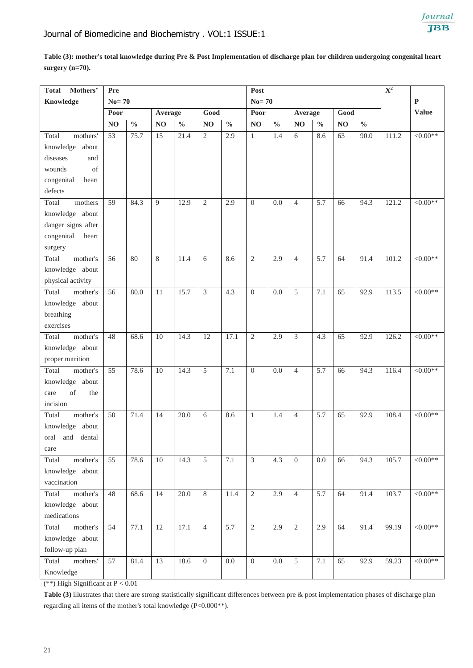**Table (3): mother's total knowledge during Pre & Post Implementation of discharge plan for children undergoing congenital heart surgery (n=70).**

| Mothers'<br><b>Total</b> | Pre     |               |         |               |                         |               | Post             |                  |                |                  |      |               | $X^2$ |              |
|--------------------------|---------|---------------|---------|---------------|-------------------------|---------------|------------------|------------------|----------------|------------------|------|---------------|-------|--------------|
| Knowledge                | $No=70$ |               |         |               |                         |               | $No=70$          |                  |                |                  |      |               |       | ${\bf P}$    |
|                          | Poor    |               | Average |               | Good                    |               | Poor             |                  | Average        |                  | Good |               |       | <b>Value</b> |
|                          | NO      | $\frac{0}{0}$ | NO      | $\frac{0}{0}$ | NO                      | $\frac{0}{0}$ | N <sub>O</sub>   | $\frac{0}{0}$    | NO             | $\frac{0}{0}$    | NO   | $\frac{0}{0}$ |       |              |
| mothers'<br>Total        | 53      | 75.7          | 15      | 21.4          | $\sqrt{2}$              | 2.9           | $\mathbf{1}$     | 1.4              | 6              | 8.6              | 63   | 90.0          | 111.2 | $< 0.00**$   |
| knowledge about          |         |               |         |               |                         |               |                  |                  |                |                  |      |               |       |              |
| diseases<br>and          |         |               |         |               |                         |               |                  |                  |                |                  |      |               |       |              |
| wounds<br>of             |         |               |         |               |                         |               |                  |                  |                |                  |      |               |       |              |
| congenital<br>heart      |         |               |         |               |                         |               |                  |                  |                |                  |      |               |       |              |
| defects                  |         |               |         |               |                         |               |                  |                  |                |                  |      |               |       |              |
| Total<br>mothers         | 59      | 84.3          | 9       | 12.9          | $\overline{2}$          | 2.9           | $\boldsymbol{0}$ | 0.0              | $\overline{4}$ | 5.7              | 66   | 94.3          | 121.2 | $<0.00**$    |
| knowledge about          |         |               |         |               |                         |               |                  |                  |                |                  |      |               |       |              |
| danger signs after       |         |               |         |               |                         |               |                  |                  |                |                  |      |               |       |              |
| congenital<br>heart      |         |               |         |               |                         |               |                  |                  |                |                  |      |               |       |              |
| surgery                  |         |               |         |               |                         |               |                  |                  |                |                  |      |               |       |              |
| Total<br>mother's        | 56      | 80            | 8       | 11.4          | 6                       | 8.6           | $\overline{2}$   | 2.9              | 4              | 5.7              | 64   | 91.4          | 101.2 | $<0.00**$    |
| knowledge about          |         |               |         |               |                         |               |                  |                  |                |                  |      |               |       |              |
| physical activity        |         |               |         |               |                         |               |                  |                  |                |                  |      |               |       |              |
| Total<br>mother's        | 56      | 80.0          | 11      | 15.7          | $\overline{\mathbf{3}}$ | 4.3           | $\boldsymbol{0}$ | 0.0              | 5              | 7.1              | 65   | 92.9          | 113.5 | $< 0.00**$   |
| knowledge about          |         |               |         |               |                         |               |                  |                  |                |                  |      |               |       |              |
| breathing                |         |               |         |               |                         |               |                  |                  |                |                  |      |               |       |              |
| exercises                |         |               |         |               |                         |               |                  |                  |                |                  |      |               |       |              |
| Total<br>mother's        | 48      | 68.6          | 10      | 14.3          | 12                      | 17.1          | $\mathbf{2}$     | 2.9              | 3              | 4.3              | 65   | 92.9          | 126.2 | $< 0.00**$   |
| knowledge about          |         |               |         |               |                         |               |                  |                  |                |                  |      |               |       |              |
| proper nutrition         |         |               |         |               |                         |               |                  |                  |                |                  |      |               |       |              |
| Total<br>mother's        | 55      | 78.6          | $10\,$  | 14.3          | 5                       | 7.1           | $\theta$         | 0.0              | $\overline{4}$ | 5.7              | 66   | 94.3          | 116.4 | $< 0.00**$   |
| knowledge about          |         |               |         |               |                         |               |                  |                  |                |                  |      |               |       |              |
| of<br>the<br>care        |         |               |         |               |                         |               |                  |                  |                |                  |      |               |       |              |
| incision                 |         |               |         |               |                         |               |                  |                  |                |                  |      |               |       |              |
| mother's<br>Total        | 50      | 71.4          | 14      | 20.0          | $6\,$                   | 8.6           | $\mathbf{1}$     | 1.4              | $\overline{4}$ | 5.7              | 65   | 92.9          | 108.4 | $<0.00**$    |
| knowledge about          |         |               |         |               |                         |               |                  |                  |                |                  |      |               |       |              |
| oral and dental          |         |               |         |               |                         |               |                  |                  |                |                  |      |               |       |              |
| care                     |         |               |         |               |                         |               |                  |                  |                |                  |      |               |       |              |
| mother's<br>Total        | 55      | 78.6          | $10\,$  | 14.3          | $\overline{5}$          | 7.1           | $\overline{3}$   | 4.3              | $\overline{0}$ | $\overline{0.0}$ | 66   | 94.3          | 105.7 | $< 0.00**$   |
| knowledge about          |         |               |         |               |                         |               |                  |                  |                |                  |      |               |       |              |
| vaccination              |         |               |         |               |                         |               |                  |                  |                |                  |      |               |       |              |
| Total<br>mother's        | 48      | 68.6          | 14      | 20.0          | $\overline{8}$          | 11.4          | $\overline{2}$   | 2.9              | $\overline{4}$ | 5.7              | 64   | 91.4          | 103.7 | $< 0.00**$   |
| knowledge about          |         |               |         |               |                         |               |                  |                  |                |                  |      |               |       |              |
| medications              |         |               |         |               |                         |               |                  |                  |                |                  |      |               |       |              |
| Total<br>mother's        | 54      | 77.1          | 12      | 17.1          | $\overline{4}$          | 5.7           | $\overline{2}$   | 2.9              | $\overline{2}$ | 2.9              | 64   | 91.4          | 99.19 | $<0.00**$    |
| knowledge about          |         |               |         |               |                         |               |                  |                  |                |                  |      |               |       |              |
| follow-up plan           |         |               |         |               |                         |               |                  |                  |                |                  |      |               |       |              |
| Total<br>mothers'        | 57      | 81.4          | 13      | 18.6          | $\mathbf{0}$            | 0.0           | $\theta$         | $\overline{0.0}$ | 5              | 7.1              | 65   | 92.9          | 59.23 | $<0.00**$    |
| Knowledge                |         |               |         |               |                         |               |                  |                  |                |                  |      |               |       |              |

(\*\*) High Significant at P < 0.01

Table (3) illustrates that there are strong statistically significant differences between pre & post implementation phases of discharge plan regarding all items of the mother's total knowledge (P<0.000\*\*).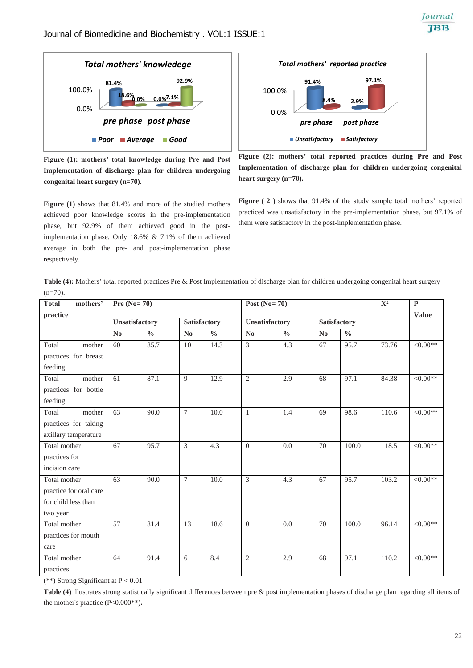

**Figure (1): mothers' total knowledge during Pre and Post Implementation of discharge plan for children undergoing congenital heart surgery (n=70).**

**Figure (1)** shows that 81.4% and more of the studied mothers achieved poor knowledge scores in the pre-implementation phase, but 92.9% of them achieved good in the postimplementation phase. Only 18.6% & 7.1% of them achieved average in both the pre- and post-implementation phase respectively.





Figure (2) shows that 91.4% of the study sample total mothers' reported practiced was unsatisfactory in the pre-implementation phase, but 97.1% of them were satisfactory in the post-implementation phase.

**Table (4):** Mothers' total reported practices Pre & Post Implementation of discharge plan for children undergoing congenital heart surgery  $(n=70)$ .

| <b>Total</b><br>mothers' | Pre ( $No = 70$ ) |               |                     |               | Post ( $No=70$ ) |               | $\overline{\mathbf{X}^2}$ | $\mathbf{P}$  |       |              |
|--------------------------|-------------------|---------------|---------------------|---------------|------------------|---------------|---------------------------|---------------|-------|--------------|
| practice                 | Unsatisfactory    |               | <b>Satisfactory</b> |               | Unsatisfactory   |               | Satisfactory              |               |       | <b>Value</b> |
|                          |                   |               |                     |               |                  |               |                           |               |       |              |
|                          | No                | $\frac{0}{0}$ | No                  | $\frac{0}{0}$ | No               | $\frac{0}{0}$ | No                        | $\frac{0}{0}$ |       |              |
| Total<br>mother          | 60                | 85.7          | 10                  | 14.3          | 3                | 4.3           | 67                        | 95.7          | 73.76 | $< 0.00**$   |
| practices for breast     |                   |               |                     |               |                  |               |                           |               |       |              |
| feeding                  |                   |               |                     |               |                  |               |                           |               |       |              |
| Total<br>mother          | 61                | 87.1          | $\mathbf Q$         | 12.9          | $\mathfrak{2}$   | 2.9           | 68                        | 97.1          | 84.38 | $< 0.00**$   |
| practices for bottle     |                   |               |                     |               |                  |               |                           |               |       |              |
| feeding                  |                   |               |                     |               |                  |               |                           |               |       |              |
| Total<br>mother          | 63                | 90.0          | $\overline{7}$      | 10.0          | $\mathbf{1}$     | 1.4           | 69                        | 98.6          | 110.6 | $< 0.00**$   |
| practices for taking     |                   |               |                     |               |                  |               |                           |               |       |              |
| axillary temperature     |                   |               |                     |               |                  |               |                           |               |       |              |
| Total mother             | 67                | 95.7          | $\mathfrak{Z}$      | 4.3           | $\theta$         | 0.0           | 70                        | 100.0         | 118.5 | $<0.00**$    |
| practices for            |                   |               |                     |               |                  |               |                           |               |       |              |
| incision care            |                   |               |                     |               |                  |               |                           |               |       |              |
| Total mother             | 63                | 90.0          | $\overline{7}$      | 10.0          | 3                | 4.3           | 67                        | 95.7          | 103.2 | $<0.00**$    |
| practice for oral care   |                   |               |                     |               |                  |               |                           |               |       |              |
| for child less than      |                   |               |                     |               |                  |               |                           |               |       |              |
| two year                 |                   |               |                     |               |                  |               |                           |               |       |              |
| Total mother             | 57                | 81.4          | 13                  | 18.6          | $\Omega$         | 0.0           | 70                        | 100.0         | 96.14 | $< 0.00**$   |
| practices for mouth      |                   |               |                     |               |                  |               |                           |               |       |              |
| care                     |                   |               |                     |               |                  |               |                           |               |       |              |
| Total mother             | 64                | 91.4          | 6                   | 8.4           | $\overline{2}$   | 2.9           | 68                        | 97.1          | 110.2 | $<0.00**$    |
| practices                |                   |               |                     |               |                  |               |                           |               |       |              |

(\*\*) Strong Significant at P < 0.01

Table (4) illustrates strong statistically significant differences between pre & post implementation phases of discharge plan regarding all items of the mother's practice (P<0.000\*\*)**.**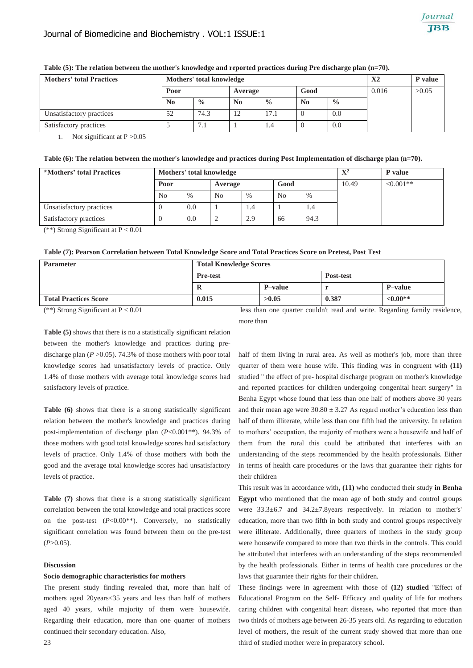| <b>Mothers' total Practices</b> |                         | Mothers' total knowledge | X <sub>2</sub>         | P value       |                |               |  |  |
|---------------------------------|-------------------------|--------------------------|------------------------|---------------|----------------|---------------|--|--|
|                                 | Good<br>Poor<br>Average |                          | 0.016                  | >0.05         |                |               |  |  |
|                                 | N <sub>0</sub>          | $\frac{0}{0}$            | $\mathbf{N}\mathbf{0}$ | $\frac{0}{0}$ | N <sub>0</sub> | $\frac{0}{0}$ |  |  |
| Unsatisfactory practices        | 52                      | 74.3                     | 12                     | 17.1          |                | 0.0           |  |  |
| Satisfactory practices          |                         | 7.1                      |                        | 1.4           |                | 0.0           |  |  |

#### **Table (5): The relation between the mother's knowledge and reported practices during Pre discharge plan (n=70).**

1. Not significant at  $P > 0.05$ 

| <i><b>*Mothers' total Practices</b></i> |                |      | Mothers' total knowledge | $\mathbf{X}^2$ | P value |      |       |              |
|-----------------------------------------|----------------|------|--------------------------|----------------|---------|------|-------|--------------|
|                                         | Poor           |      | Average                  |                | Good    |      | 10.49 | $< 0.001$ ** |
|                                         | N <sub>0</sub> | $\%$ | N <sub>0</sub>           | $\%$           | No      | $\%$ |       |              |
| Unsatisfactory practices                | $\cup$         | 0.0  |                          | 1.4            |         | 1.4  |       |              |
| Satisfactory practices                  | U              | 0.0  | ∼                        | 2.9            | 66      | 94.3 |       |              |

(\*\*) Strong Significant at P < 0.01

| Table (7): Pearson Correlation between Total Knowledge Score and Total Practices Score on Pretest, Post Test |  |  |  |  |  |  |  |
|--------------------------------------------------------------------------------------------------------------|--|--|--|--|--|--|--|
|--------------------------------------------------------------------------------------------------------------|--|--|--|--|--|--|--|

| <b>Parameter</b>             | <b>Total Knowledge Scores</b> |         |           |             |  |  |  |  |
|------------------------------|-------------------------------|---------|-----------|-------------|--|--|--|--|
|                              | <b>Pre-test</b>               |         | Post-test |             |  |  |  |  |
|                              | A                             | P-value |           | P-value     |  |  |  |  |
| <b>Total Practices Score</b> | 0.015                         | >0.05   | 0.387     | ${<}0.00**$ |  |  |  |  |

(\*\*) Strong Significant at  $P < 0.01$ 

less than one quarter couldn't read and write. Regarding family residence, more than

**Table (5)** shows that there is no a statistically significant relation between the mother's knowledge and practices during predischarge plan (*P* > 0.05). 74.3% of those mothers with poor total knowledge scores had unsatisfactory levels of practice. Only 1.4% of those mothers with average total knowledge scores had satisfactory levels of practice.

**Table (6)** shows that there is a strong statistically significant relation between the mother's knowledge and practices during post-implementation of discharge plan (*P*<0.001\*\*). 94.3% of those mothers with good total knowledge scores had satisfactory levels of practice. Only 1.4% of those mothers with both the good and the average total knowledge scores had unsatisfactory levels of practice.

**Table (7)** shows that there is a strong statistically significant correlation between the total knowledge and total practices score on the post-test (*P*<0.00\*\*). Conversely, no statistically significant correlation was found between them on the pre-test  $(P>0.05)$ .

#### **Discussion**

#### **Socio demographic characteristics for mothers**

The present study finding revealed that, more than half of mothers aged 20years<35 years and less than half of mothers aged 40 years, while majority of them were housewife. Regarding their education, more than one quarter of mothers continued their secondary education. Also,

half of them living in rural area. As well as mother's job, more than three quarter of them were house wife. This finding was in congruent with **(11)** studied " the effect of pre- hospital discharge program on mother's knowledge and reported practices for children undergoing congenital heart surgery" in Benha Egypt whose found that less than one half of mothers above 30 years and their mean age were  $30.80 \pm 3.27$  As regard mother's education less than half of them illiterate, while less than one fifth had the university. In relation to mothers' occupation, the majority of mothers were a housewife and half of them from the rural this could be attributed that interferes with an understanding of the steps recommended by the health professionals. Either in terms of health care procedures or the laws that guarantee their rights for their children

This result was in accordance with**, (11)** who conducted their study **in Benha Egypt** who mentioned that the mean age of both study and control groups were 33.3±6.7 and 34.2±7.8years respectively. In relation to mother's' education, more than two fifth in both study and control groups respectively were illiterate. Additionally, three quarters of mothers in the study group were housewife compared to more than two thirds in the controls. This could be attributed that interferes with an understanding of the steps recommended by the health professionals. Either in terms of health care procedures or the laws that guarantee their rights for their children.

These findings were in agreement with those of **(12) studied** ''Effect of Educational Program on the Self- Efficacy and quality of life for mothers caring children with congenital heart disease**,** who reported that more than two thirds of mothers age between 26-35 years old. As regarding to education level of mothers, the result of the current study showed that more than one third of studied mother were in preparatory school.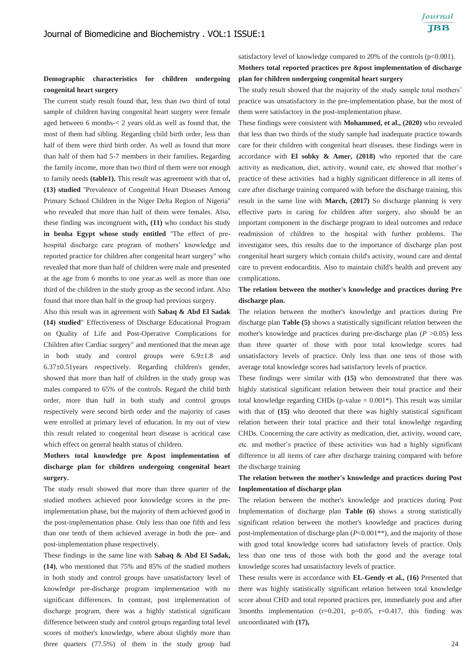### **Demographic characteristics for children undergoing congenital heart surgery**

The current study result found that, less than two third of total sample of children having congenital heart surgery were female aged between 6 months-< 2 years old.as well as found that, the most of them had sibling. Regarding child birth order, less than half of them were third birth order. As well as found that more than half of them had 5-7 members in their families**.** Regarding the family income, more than two third of them were not enough to family needs **(table1).** This result was agreement with that of**, (13) studied** ''Prevalence of Congenital Heart Diseases Among Primary School Children in the Niger Delta Region of Nigeria'' who revealed that more than half of them were females. Also, these finding was incongruent with**, (11)** who conduct his study **in benha Egypt whose study entitled** ''The effect of prehospital discharge care program of mothers' knowledge and reported practice for children after congenital heart surgery'' who revealed that more than half of children were male and presented at the age from 6 months to one year.as well as more than one third of the children in the study group as the second infant. Also found that more than half in the group had previous surgery.

Also this result was in agreement with **Sabaq & Abd El Sadak (14) studied**" Effectiveness of Discharge Educational Program on Quality of Life and Post-Operative Complications for Children after Cardiac surgery" and mentioned that the mean age in both study and control groups were 6.9±1.8 and 6.37±0.51years respectively. Regarding children's gender, showed that more than half of children in the study group was males compared to 65% of the controls. Regard the child birth order, more than half in both study and control groups respectively were second birth order and the majority of cases were enrolled at primary level of education. In my out of view this result related to congenital heart disease is acritical case which effect on general health status of children.

## **Mothers total knowledge pre &post implementation of discharge plan for children undergoing congenital heart surgery.**

The study result showed that more than three quarter of the studied mothers achieved poor knowledge scores in the preimplementation phase, but the majority of them achieved good in the post-implementation phase. Only less than one fifth and less than one tenth of them achieved average in both the pre- and post-implementation phase respectively.

These findings in the same line with **Sabaq & Abd El Sadak, (14)**, who mentioned that 75% and 85% of the studied mothers in both study and control groups have unsatisfactory level of knowledge pre-discharge program implementation with no significant differences. In contrast, post implementation of discharge program, there was a highly statistical significant difference between study and control groups regarding total level scores of mother's knowledge, where about slightly more than three quarters (77.5%) of them in the study group had

satisfactory level of knowledge compared to 20% of the controls (p<0.001).

### **Mothers total reported practices pre &post implementation of discharge plan for children undergoing congenital heart surgery**

The study result showed that the majority of the study sample total mothers' practice was unsatisfactory in the pre-implementation phase, but the most of them were satisfactory in the post-implementation phase.

These findings were consistent with **Mohammed, et al., (2020)** who revealed that less than two thirds of the study sample had inadequate practice towards care for their children with congenital heart diseases. these findings were in accordance with **El sobky & Amer, (2018)** who reported that the care activity as medication, diet, activity, wound care, etc showed that mother's practice of these activities had a highly significant difference in all items of care after discharge training compared with before the discharge training, this result in the same line with **March, (2017)** So discharge planning is very effective parts in caring for children after surgery, also should be an important component in the discharge program to ideal outcomes and reduce readmission of children to the hospital with further problems. The investigator sees, this results due to the importance of discharge plan post congenital heart surgery which contain child's activity, wound care and dental care to prevent endocarditis. Also to maintain child's health and prevent any complications.

### **The relation between the mother's knowledge and practices during Pre discharge plan.**

The relation between the mother's knowledge and practices during Pre discharge plan **Table (5)** shows a statistically significant relation between the mother's knowledge and practices during pre-discharge plan (*P* >0.05) less than three quarter of those with poor total knowledge scores had unsatisfactory levels of practice. Only less than one tens of those with average total knowledge scores had satisfactory levels of practice.

These findings were similar with **(15)** who demonstrated that there was highly statistical significant relation between their total practice and their total knowledge regarding CHDs (p-value  $= 0.001$ <sup>\*</sup>). This result was similar with that of **(15)** who denoted that there was highly statistical significant relation between their total practice and their total knowledge regarding CHDs. Concerning the care activity as medication, diet, activity, wound care, etc. and mother's practice of these activities was had a highly significant difference in all items of care after discharge training compared with before the discharge training

### **The relation between the mother's knowledge and practices during Post Implementation of discharge plan**

The relation between the mother's knowledge and practices during Post Implementation of discharge plan **Table (6)** shows a strong statistically significant relation between the mother's knowledge and practices during post-implementation of discharge plan (*P*<0.001\*\*), and the majority of those with good total knowledge scores had satisfactory levels of practice. Only less than one tens of those with both the good and the average total knowledge scores had unsatisfactory levels of practice.

These results were in accordance with **EL-Gendy et al., (16)** Presented that there was highly statistically significant relation between total knowledge score about CHD and total reported practices pre, immediately post and after 3months implementation (r=0.201, p=0.05, r=0.417, this finding was uncoordinated with **(17),**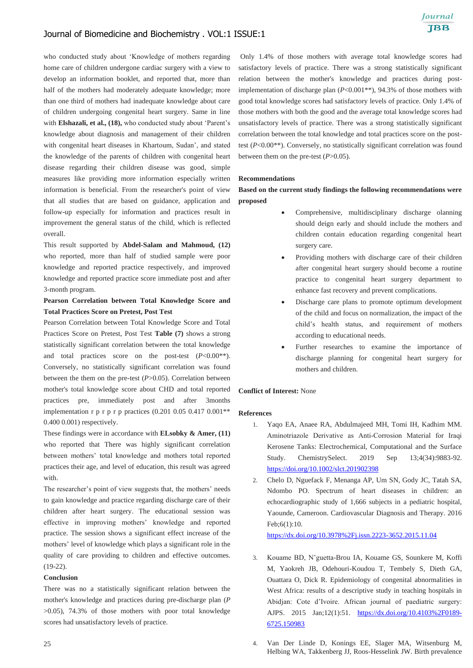### Journal of Biomedicine and Biochemistry . VOL:1 ISSUE:1

who conducted study about 'Knowledge of mothers regarding home care of children undergone cardiac surgery with a view to develop an information booklet, and reported that, more than half of the mothers had moderately adequate knowledge; more than one third of mothers had inadequate knowledge about care of children undergoing congenital heart surgery. Same in line with **Elshazali, et al., (18),** who conducted study about 'Parent's knowledge about diagnosis and management of their children with congenital heart diseases in Khartoum, Sudan', and stated the knowledge of the parents of children with congenital heart disease regarding their children disease was good, simple measures like providing more information especially written information is beneficial. From the researcher's point of view that all studies that are based on guidance, application and follow-up especially for information and practices result in improvement the general status of the child, which is reflected overall.

This result supported by **Abdel-Salam and Mahmoud, (12)** who reported, more than half of studied sample were poor knowledge and reported practice respectively, and improved knowledge and reported practice score immediate post and after 3-month program.

### **Pearson Correlation between Total Knowledge Score and Total Practices Score on Pretest, Post Test**

Pearson Correlation between Total Knowledge Score and Total Practices Score on Pretest, Post Test **Table (7)** shows a strong statistically significant correlation between the total knowledge and total practices score on the post-test (*P*<0.00\*\*). Conversely, no statistically significant correlation was found between the them on the pre-test (*P*>0.05). Correlation between mother's total knowledge score about CHD and total reported practices pre, immediately post and after 3months implementation r p r p r p practices (0.201 0.05 0.417 0.001\*\* 0.400 0.001) respectively.

These findings were in accordance with **ELsobky & Amer, (11)** who reported that There was highly significant correlation between mothers' total knowledge and mothers total reported practices their age, and level of education, this result was agreed with.

The researcher's point of view suggests that, the mothers' needs to gain knowledge and practice regarding discharge care of their children after heart surgery. The educational session was effective in improving mothers' knowledge and reported practice. The session shows a significant effect increase of the mothers' level of knowledge which plays a significant role in the quality of care providing to children and effective outcomes. (19-22).

### **Conclusion**

There was no a statistically significant relation between the mother's knowledge and practices during pre-discharge plan (*P* >0.05), 74.3% of those mothers with poor total knowledge scores had unsatisfactory levels of practice.

Only 1.4% of those mothers with average total knowledge scores had satisfactory levels of practice. There was a strong statistically significant relation between the mother's knowledge and practices during postimplementation of discharge plan (*P*<0.001\*\*), 94.3% of those mothers with good total knowledge scores had satisfactory levels of practice. Only 1.4% of those mothers with both the good and the average total knowledge scores had unsatisfactory levels of practice. There was a strong statistically significant correlation between the total knowledge and total practices score on the posttest (*P*<0.00\*\*). Conversely, no statistically significant correlation was found between them on the pre-test (*P*>0.05).

### **Recommendations**

**Based on the current study findings the following recommendations were proposed**

- Comprehensive, multidisciplinary discharge olanning should deign early and should include the mothers and children contain education regarding congenital heart surgery care.
- Providing mothers with discharge care of their children after congenital heart surgery should become a routine practice to congenital heart surgery department to enhance fast recovery and prevent complications.
- Discharge care plans to promote optimum development of the child and focus on normalization, the impact of the child's health status, and requirement of mothers according to educational needs.
- Further researches to examine the importance of discharge planning for congenital heart surgery for mothers and children.

#### **Conflict of Interest:** None

#### **References**

- 1. Yaqo EA, Anaee RA, Abdulmajeed MH, Tomi IH, Kadhim MM. Aminotriazole Derivative as Anti‐Corrosion Material for Iraqi Kerosene Tanks: Electrochemical, Computational and the Surface Study. ChemistrySelect. 2019 Sep 13;4(34):9883-92. <https://doi.org/10.1002/slct.201902398>
- 2. Chelo D, Nguefack F, Menanga AP, Um SN, Gody JC, Tatah SA, Ndombo PO. Spectrum of heart diseases in children: an echocardiographic study of 1,666 subjects in a pediatric hospital, Yaounde, Cameroon. Cardiovascular Diagnosis and Therapy. 2016 Feb;6(1):10.

<https://dx.doi.org/10.3978%2Fj.issn.2223-3652.2015.11.04>

- 3. Kouame BD, N'guetta-Brou IA, Kouame GS, Sounkere M, Koffi M, Yaokreh JB, Odehouri-Koudou T, Tembely S, Dieth GA, Ouattara O, Dick R. Epidemiology of congenital abnormalities in West Africa: results of a descriptive study in teaching hospitals in Abidjan: Cote d'Ivoire. African journal of paediatric surgery: AJPS. 2015 Jan;12(1):51. [https://dx.doi.org/10.4103%2F0189-](https://dx.doi.org/10.4103%2F0189-6725.150983) [6725.150983](https://dx.doi.org/10.4103%2F0189-6725.150983)
- 4. Van Der Linde D, Konings EE, Slager MA, Witsenburg M, Helbing WA, Takkenberg JJ, Roos-Hesselink JW. Birth prevalence